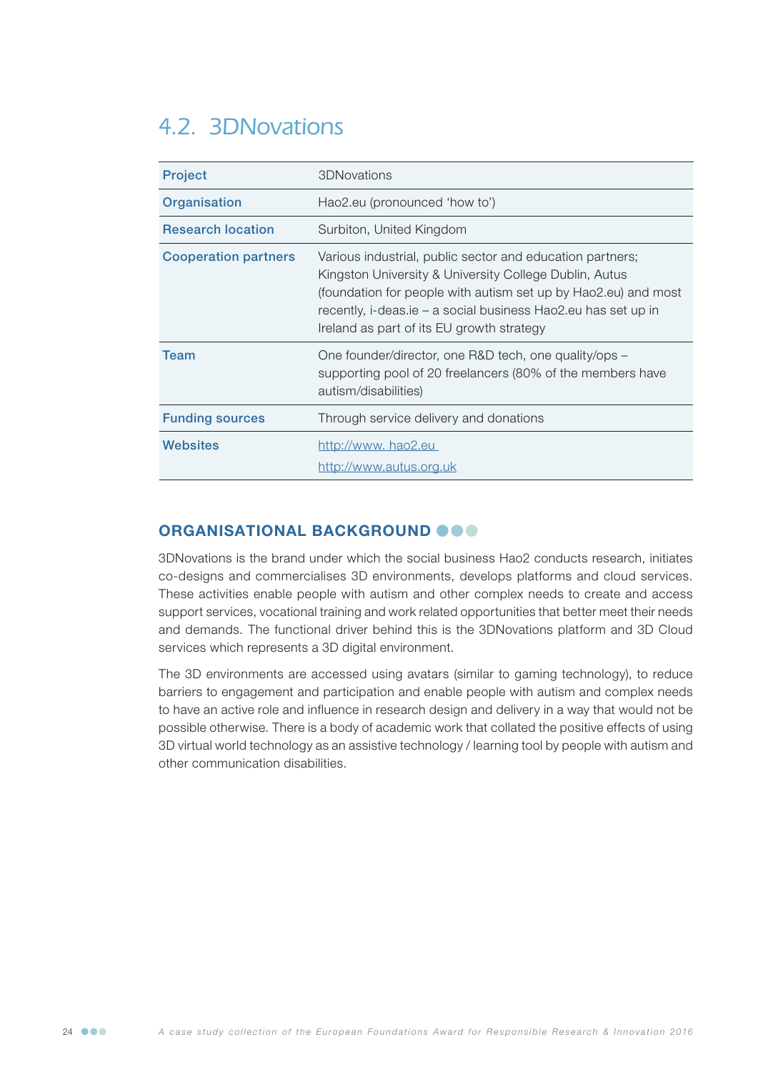# 4.2. 3DNovations

| <b>Project</b>              | 3DNovations                                                                                                                                                                                                                                                                                         |
|-----------------------------|-----------------------------------------------------------------------------------------------------------------------------------------------------------------------------------------------------------------------------------------------------------------------------------------------------|
| Organisation                | Hao2.eu (pronounced 'how to')                                                                                                                                                                                                                                                                       |
| <b>Research location</b>    | Surbiton, United Kingdom                                                                                                                                                                                                                                                                            |
| <b>Cooperation partners</b> | Various industrial, public sector and education partners;<br>Kingston University & University College Dublin, Autus<br>(foundation for people with autism set up by Hao2.eu) and most<br>recently, i-deas.ie – a social business Hao2.eu has set up in<br>Ireland as part of its EU growth strategy |
| Team                        | One founder/director, one R&D tech, one quality/ops –<br>supporting pool of 20 freelancers (80% of the members have<br>autism/disabilities)                                                                                                                                                         |
| <b>Funding sources</b>      | Through service delivery and donations                                                                                                                                                                                                                                                              |
| Websites                    | http://www. hao2.eu<br>http://www.autus.org.uk                                                                                                                                                                                                                                                      |

## ORGANISATIONAL BACKGROUND OOO

3DNovations is the brand under which the social business Hao2 conducts research, initiates co-designs and commercialises 3D environments, develops platforms and cloud services. These activities enable people with autism and other complex needs to create and access support services, vocational training and work related opportunities that better meet their needs and demands. The functional driver behind this is the 3DNovations platform and 3D Cloud services which represents a 3D digital environment.

The 3D environments are accessed using avatars (similar to gaming technology), to reduce barriers to engagement and participation and enable people with autism and complex needs to have an active role and influence in research design and delivery in a way that would not be possible otherwise. There is a body of academic work that collated the positive effects of using 3D virtual world technology as an assistive technology / learning tool by people with autism and other communication disabilities.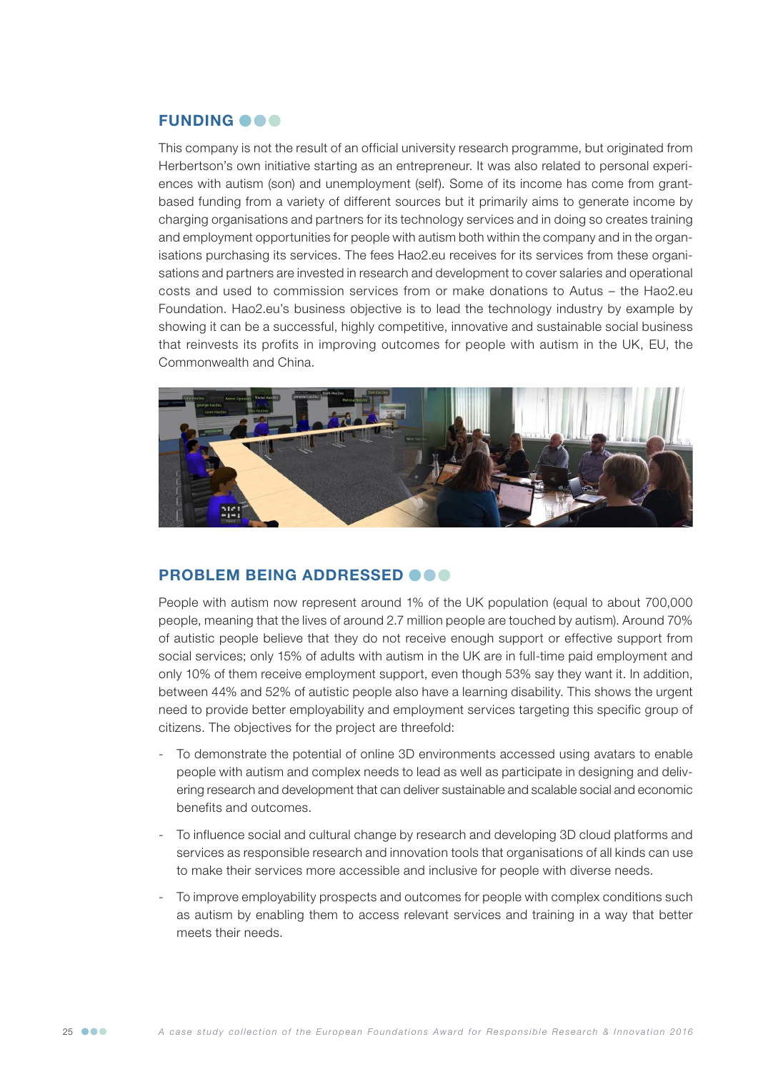#### **FUNDING @@@**

This company is not the result of an official university research programme, but originated from Herbertson's own initiative starting as an entrepreneur. It was also related to personal experiences with autism (son) and unemployment (self). Some of its income has come from grantbased funding from a variety of different sources but it primarily aims to generate income by charging organisations and partners for its technology services and in doing so creates training and employment opportunities for people with autism both within the company and in the organisations purchasing its services. The fees Hao2.eu receives for its services from these organisations and partners are invested in research and development to cover salaries and operational costs and used to commission services from or make donations to Autus – the Hao2.eu Foundation. Hao2.eu's business objective is to lead the technology industry by example by showing it can be a successful, highly competitive, innovative and sustainable social business that reinvests its profits in improving outcomes for people with autism in the UK, EU, the Commonwealth and China.



#### PROBLEM BEING ADDRESSED  $\bullet \bullet \bullet$

People with autism now represent around 1% of the UK population (equal to about 700,000 people, meaning that the lives of around 2.7 million people are touched by autism). Around 70% of autistic people believe that they do not receive enough support or effective support from social services; only 15% of adults with autism in the UK are in full-time paid employment and only 10% of them receive employment support, even though 53% say they want it. In addition, between 44% and 52% of autistic people also have a learning disability. This shows the urgent need to provide better employability and employment services targeting this specific group of citizens. The objectives for the project are threefold:

- To demonstrate the potential of online 3D environments accessed using avatars to enable people with autism and complex needs to lead as well as participate in designing and delivering research and development that can deliver sustainable and scalable social and economic benefits and outcomes.
- To influence social and cultural change by research and developing 3D cloud platforms and services as responsible research and innovation tools that organisations of all kinds can use to make their services more accessible and inclusive for people with diverse needs.
- To improve employability prospects and outcomes for people with complex conditions such as autism by enabling them to access relevant services and training in a way that better meets their needs.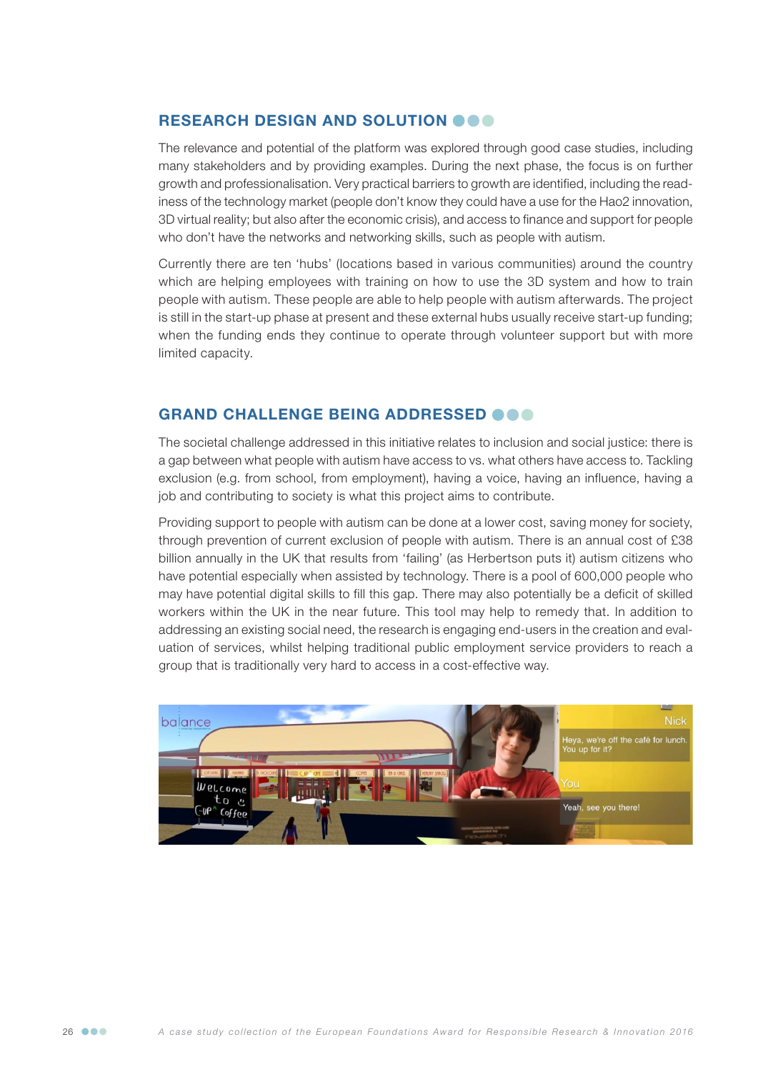#### RESEARCH DESIGN AND SOLUTION OOO

The relevance and potential of the platform was explored through good case studies, including many stakeholders and by providing examples. During the next phase, the focus is on further growth and professionalisation. Very practical barriers to growth are identified, including the readiness of the technology market (people don't know they could have a use for the Hao2 innovation, 3D virtual reality; but also after the economic crisis), and access to finance and support for people who don't have the networks and networking skills, such as people with autism.

Currently there are ten 'hubs' (locations based in various communities) around the country which are helping employees with training on how to use the 3D system and how to train people with autism. These people are able to help people with autism afterwards. The project is still in the start-up phase at present and these external hubs usually receive start-up funding; when the funding ends they continue to operate through volunteer support but with more limited capacity.

#### GRAND CHALLENGE BEING ADDRESSED @@@

The societal challenge addressed in this initiative relates to inclusion and social justice: there is a gap between what people with autism have access to vs. what others have access to. Tackling exclusion (e.g. from school, from employment), having a voice, having an influence, having a job and contributing to society is what this project aims to contribute.

Providing support to people with autism can be done at a lower cost, saving money for society, through prevention of current exclusion of people with autism. There is an annual cost of £38 billion annually in the UK that results from 'failing' (as Herbertson puts it) autism citizens who have potential especially when assisted by technology. There is a pool of 600,000 people who may have potential digital skills to fill this gap. There may also potentially be a deficit of skilled workers within the UK in the near future. This tool may help to remedy that. In addition to addressing an existing social need, the research is engaging end-users in the creation and evaluation of services, whilst helping traditional public employment service providers to reach a group that is traditionally very hard to access in a cost-effective way.

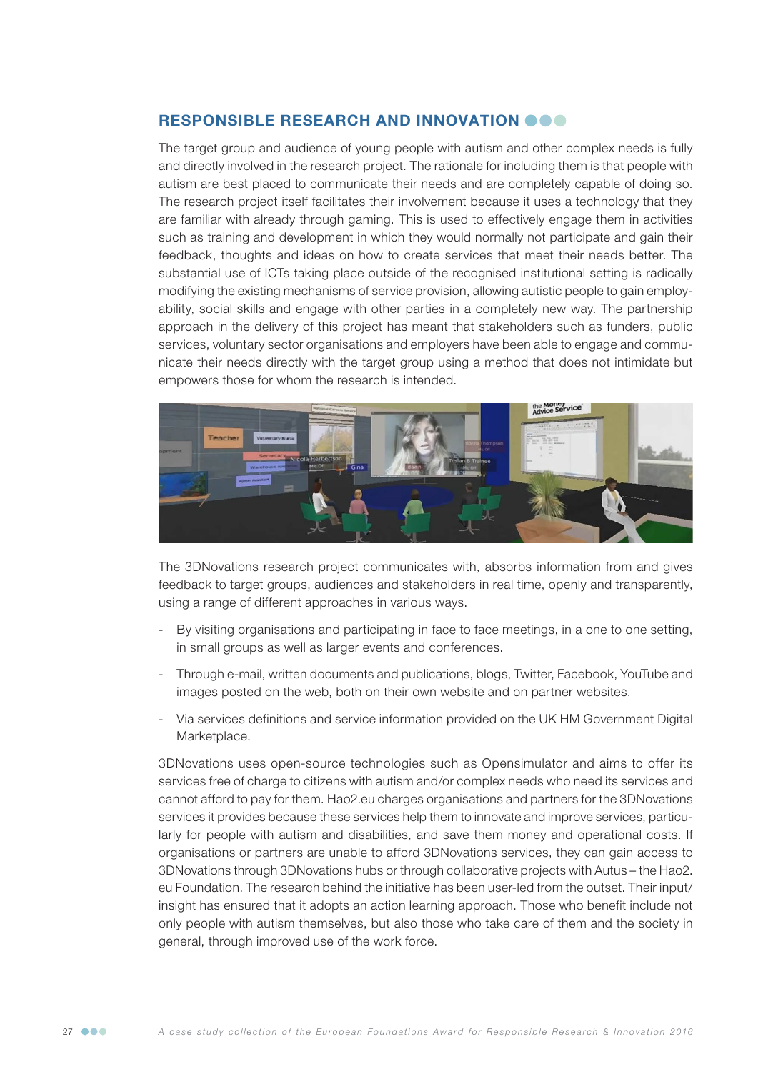#### RESPONSIBLE RESEARCH AND INNOVATION OOO

The target group and audience of young people with autism and other complex needs is fully and directly involved in the research project. The rationale for including them is that people with autism are best placed to communicate their needs and are completely capable of doing so. The research project itself facilitates their involvement because it uses a technology that they are familiar with already through gaming. This is used to effectively engage them in activities such as training and development in which they would normally not participate and gain their feedback, thoughts and ideas on how to create services that meet their needs better. The substantial use of ICTs taking place outside of the recognised institutional setting is radically modifying the existing mechanisms of service provision, allowing autistic people to gain employability, social skills and engage with other parties in a completely new way. The partnership approach in the delivery of this project has meant that stakeholders such as funders, public services, voluntary sector organisations and employers have been able to engage and communicate their needs directly with the target group using a method that does not intimidate but empowers those for whom the research is intended.



The 3DNovations research project communicates with, absorbs information from and gives feedback to target groups, audiences and stakeholders in real time, openly and transparently, using a range of different approaches in various ways.

- By visiting organisations and participating in face to face meetings, in a one to one setting, in small groups as well as larger events and conferences.
- Through e-mail, written documents and publications, blogs, Twitter, Facebook, YouTube and images posted on the web, both on their own website and on partner websites.
- Via services definitions and service information provided on the UK HM Government Digital Marketplace.

3DNovations uses open-source technologies such as Opensimulator and aims to offer its services free of charge to citizens with autism and/or complex needs who need its services and cannot afford to pay for them. Hao2.eu charges organisations and partners for the 3DNovations services it provides because these services help them to innovate and improve services, particularly for people with autism and disabilities, and save them money and operational costs. If organisations or partners are unable to afford 3DNovations services, they can gain access to 3DNovations through 3DNovations hubs or through collaborative projects with Autus – the Hao2. eu Foundation. The research behind the initiative has been user-led from the outset. Their input/ insight has ensured that it adopts an action learning approach. Those who benefit include not only people with autism themselves, but also those who take care of them and the society in general, through improved use of the work force.